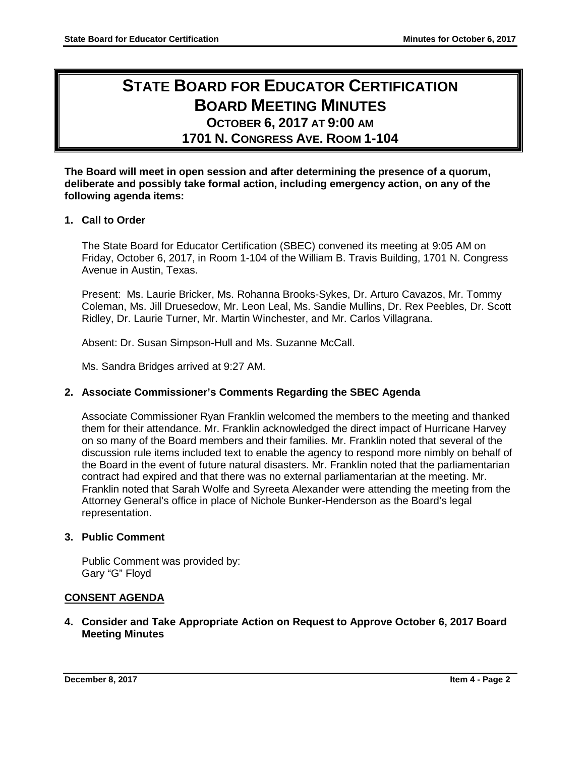# **STATE BOARD FOR EDUCATOR CERTIFICATION BOARD MEETING MINUTES OCTOBER 6, 2017 AT 9:00 AM**

**1701 N. CONGRESS AVE. ROOM 1-104**

**The Board will meet in open session and after determining the presence of a quorum, deliberate and possibly take formal action, including emergency action, on any of the following agenda items:**

# **1. Call to Order**

The State Board for Educator Certification (SBEC) convened its meeting at 9:05 AM on Friday, October 6, 2017, in Room 1-104 of the William B. Travis Building, 1701 N. Congress Avenue in Austin, Texas.

Present: Ms. Laurie Bricker, Ms. Rohanna Brooks-Sykes, Dr. Arturo Cavazos, Mr. Tommy Coleman, Ms. Jill Druesedow, Mr. Leon Leal, Ms. Sandie Mullins, Dr. Rex Peebles, Dr. Scott Ridley, Dr. Laurie Turner, Mr. Martin Winchester, and Mr. Carlos Villagrana.

Absent: Dr. Susan Simpson-Hull and Ms. Suzanne McCall.

Ms. Sandra Bridges arrived at 9:27 AM.

# **2. Associate Commissioner's Comments Regarding the SBEC Agenda**

Associate Commissioner Ryan Franklin welcomed the members to the meeting and thanked them for their attendance. Mr. Franklin acknowledged the direct impact of Hurricane Harvey on so many of the Board members and their families. Mr. Franklin noted that several of the discussion rule items included text to enable the agency to respond more nimbly on behalf of the Board in the event of future natural disasters. Mr. Franklin noted that the parliamentarian contract had expired and that there was no external parliamentarian at the meeting. Mr. Franklin noted that Sarah Wolfe and Syreeta Alexander were attending the meeting from the Attorney General's office in place of Nichole Bunker-Henderson as the Board's legal representation.

# **3. Public Comment**

Public Comment was provided by: Gary "G" Floyd

# **CONSENT AGENDA**

**4. Consider and Take Appropriate Action on Request to Approve October 6, 2017 Board Meeting Minutes**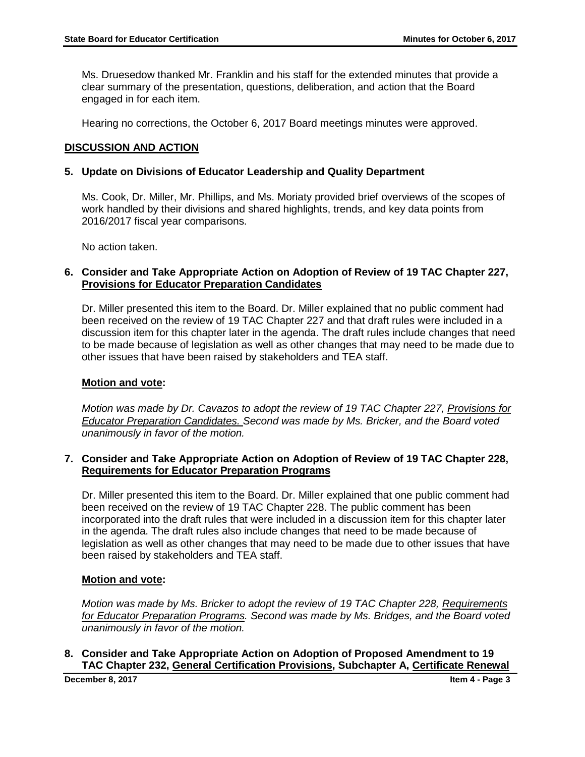Ms. Druesedow thanked Mr. Franklin and his staff for the extended minutes that provide a clear summary of the presentation, questions, deliberation, and action that the Board engaged in for each item.

Hearing no corrections, the October 6, 2017 Board meetings minutes were approved.

## **DISCUSSION AND ACTION**

#### **5. Update on Divisions of Educator Leadership and Quality Department**

Ms. Cook, Dr. Miller, Mr. Phillips, and Ms. Moriaty provided brief overviews of the scopes of work handled by their divisions and shared highlights, trends, and key data points from 2016/2017 fiscal year comparisons.

No action taken.

#### **6. Consider and Take Appropriate Action on Adoption of Review of 19 TAC Chapter 227, Provisions for Educator Preparation Candidates**

Dr. Miller presented this item to the Board. Dr. Miller explained that no public comment had been received on the review of 19 TAC Chapter 227 and that draft rules were included in a discussion item for this chapter later in the agenda. The draft rules include changes that need to be made because of legislation as well as other changes that may need to be made due to other issues that have been raised by stakeholders and TEA staff.

## **Motion and vote:**

*Motion was made by Dr. Cavazos to adopt the review of 19 TAC Chapter 227, Provisions for Educator Preparation Candidates. Second was made by Ms. Bricker, and the Board voted unanimously in favor of the motion.* 

#### **7. Consider and Take Appropriate Action on Adoption of Review of 19 TAC Chapter 228, Requirements for Educator Preparation Programs**

Dr. Miller presented this item to the Board. Dr. Miller explained that one public comment had been received on the review of 19 TAC Chapter 228. The public comment has been incorporated into the draft rules that were included in a discussion item for this chapter later in the agenda. The draft rules also include changes that need to be made because of legislation as well as other changes that may need to be made due to other issues that have been raised by stakeholders and TEA staff.

## **Motion and vote:**

*Motion was made by Ms. Bricker to adopt the review of 19 TAC Chapter 228, Requirements for Educator Preparation Programs. Second was made by Ms. Bridges, and the Board voted unanimously in favor of the motion.* 

**8. Consider and Take Appropriate Action on Adoption of Proposed Amendment to 19 TAC Chapter 232, General Certification Provisions, Subchapter A, Certificate Renewal** 

**December 8, 2017 Item 4 - Page 3**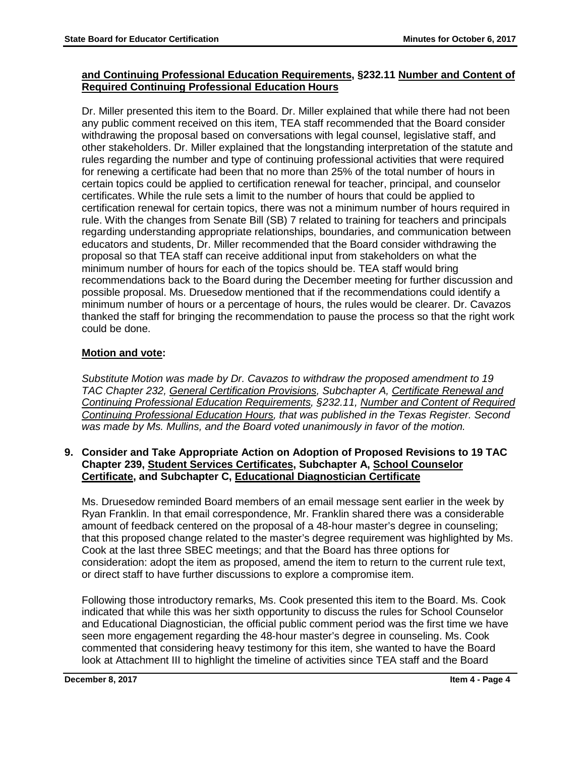## **and Continuing Professional Education Requirements, §232.11 Number and Content of Required Continuing Professional Education Hours**

Dr. Miller presented this item to the Board. Dr. Miller explained that while there had not been any public comment received on this item, TEA staff recommended that the Board consider withdrawing the proposal based on conversations with legal counsel, legislative staff, and other stakeholders. Dr. Miller explained that the longstanding interpretation of the statute and rules regarding the number and type of continuing professional activities that were required for renewing a certificate had been that no more than 25% of the total number of hours in certain topics could be applied to certification renewal for teacher, principal, and counselor certificates. While the rule sets a limit to the number of hours that could be applied to certification renewal for certain topics, there was not a minimum number of hours required in rule. With the changes from Senate Bill (SB) 7 related to training for teachers and principals regarding understanding appropriate relationships, boundaries, and communication between educators and students, Dr. Miller recommended that the Board consider withdrawing the proposal so that TEA staff can receive additional input from stakeholders on what the minimum number of hours for each of the topics should be. TEA staff would bring recommendations back to the Board during the December meeting for further discussion and possible proposal. Ms. Druesedow mentioned that if the recommendations could identify a minimum number of hours or a percentage of hours, the rules would be clearer. Dr. Cavazos thanked the staff for bringing the recommendation to pause the process so that the right work could be done.

# **Motion and vote:**

*Substitute Motion was made by Dr. Cavazos to withdraw the proposed amendment to 19 TAC Chapter 232, General Certification Provisions, Subchapter A, Certificate Renewal and Continuing Professional Education Requirements, §232.11, Number and Content of Required Continuing Professional Education Hours, that was published in the Texas Register. Second was made by Ms. Mullins, and the Board voted unanimously in favor of the motion.* 

## **9. Consider and Take Appropriate Action on Adoption of Proposed Revisions to 19 TAC Chapter 239, Student Services Certificates, Subchapter A, School Counselor Certificate, and Subchapter C, Educational Diagnostician Certificate**

Ms. Druesedow reminded Board members of an email message sent earlier in the week by Ryan Franklin. In that email correspondence, Mr. Franklin shared there was a considerable amount of feedback centered on the proposal of a 48-hour master's degree in counseling; that this proposed change related to the master's degree requirement was highlighted by Ms. Cook at the last three SBEC meetings; and that the Board has three options for consideration: adopt the item as proposed, amend the item to return to the current rule text, or direct staff to have further discussions to explore a compromise item.

Following those introductory remarks, Ms. Cook presented this item to the Board. Ms. Cook indicated that while this was her sixth opportunity to discuss the rules for School Counselor and Educational Diagnostician, the official public comment period was the first time we have seen more engagement regarding the 48-hour master's degree in counseling. Ms. Cook commented that considering heavy testimony for this item, she wanted to have the Board look at Attachment III to highlight the timeline of activities since TEA staff and the Board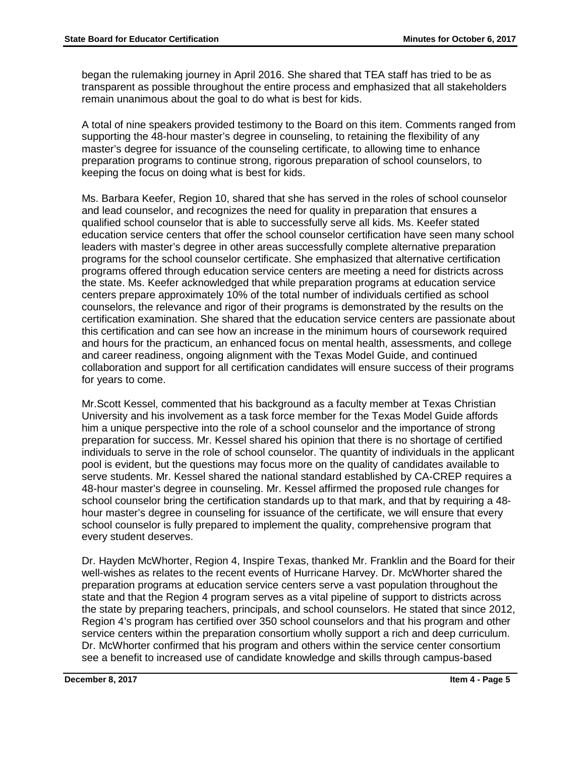began the rulemaking journey in April 2016. She shared that TEA staff has tried to be as transparent as possible throughout the entire process and emphasized that all stakeholders remain unanimous about the goal to do what is best for kids.

A total of nine speakers provided testimony to the Board on this item. Comments ranged from supporting the 48-hour master's degree in counseling, to retaining the flexibility of any master's degree for issuance of the counseling certificate, to allowing time to enhance preparation programs to continue strong, rigorous preparation of school counselors, to keeping the focus on doing what is best for kids.

Ms. Barbara Keefer, Region 10, shared that she has served in the roles of school counselor and lead counselor, and recognizes the need for quality in preparation that ensures a qualified school counselor that is able to successfully serve all kids. Ms. Keefer stated education service centers that offer the school counselor certification have seen many school leaders with master's degree in other areas successfully complete alternative preparation programs for the school counselor certificate. She emphasized that alternative certification programs offered through education service centers are meeting a need for districts across the state. Ms. Keefer acknowledged that while preparation programs at education service centers prepare approximately 10% of the total number of individuals certified as school counselors, the relevance and rigor of their programs is demonstrated by the results on the certification examination. She shared that the education service centers are passionate about this certification and can see how an increase in the minimum hours of coursework required and hours for the practicum, an enhanced focus on mental health, assessments, and college and career readiness, ongoing alignment with the Texas Model Guide, and continued collaboration and support for all certification candidates will ensure success of their programs for years to come.

Mr.Scott Kessel, commented that his background as a faculty member at Texas Christian University and his involvement as a task force member for the Texas Model Guide affords him a unique perspective into the role of a school counselor and the importance of strong preparation for success. Mr. Kessel shared his opinion that there is no shortage of certified individuals to serve in the role of school counselor. The quantity of individuals in the applicant pool is evident, but the questions may focus more on the quality of candidates available to serve students. Mr. Kessel shared the national standard established by CA-CREP requires a 48-hour master's degree in counseling. Mr. Kessel affirmed the proposed rule changes for school counselor bring the certification standards up to that mark, and that by requiring a 48 hour master's degree in counseling for issuance of the certificate, we will ensure that every school counselor is fully prepared to implement the quality, comprehensive program that every student deserves.

Dr. Hayden McWhorter, Region 4, Inspire Texas, thanked Mr. Franklin and the Board for their well-wishes as relates to the recent events of Hurricane Harvey. Dr. McWhorter shared the preparation programs at education service centers serve a vast population throughout the state and that the Region 4 program serves as a vital pipeline of support to districts across the state by preparing teachers, principals, and school counselors. He stated that since 2012, Region 4's program has certified over 350 school counselors and that his program and other service centers within the preparation consortium wholly support a rich and deep curriculum. Dr. McWhorter confirmed that his program and others within the service center consortium see a benefit to increased use of candidate knowledge and skills through campus-based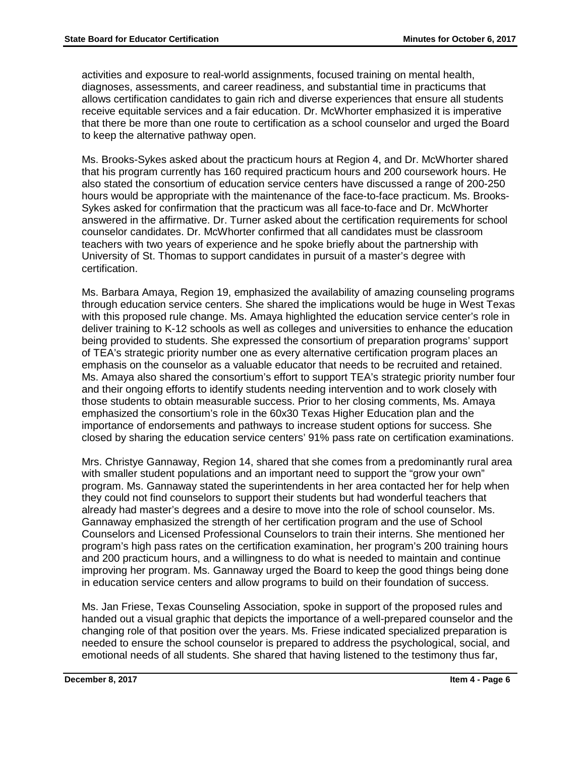activities and exposure to real-world assignments, focused training on mental health, diagnoses, assessments, and career readiness, and substantial time in practicums that allows certification candidates to gain rich and diverse experiences that ensure all students receive equitable services and a fair education. Dr. McWhorter emphasized it is imperative that there be more than one route to certification as a school counselor and urged the Board to keep the alternative pathway open.

Ms. Brooks-Sykes asked about the practicum hours at Region 4, and Dr. McWhorter shared that his program currently has 160 required practicum hours and 200 coursework hours. He also stated the consortium of education service centers have discussed a range of 200-250 hours would be appropriate with the maintenance of the face-to-face practicum. Ms. Brooks-Sykes asked for confirmation that the practicum was all face-to-face and Dr. McWhorter answered in the affirmative. Dr. Turner asked about the certification requirements for school counselor candidates. Dr. McWhorter confirmed that all candidates must be classroom teachers with two years of experience and he spoke briefly about the partnership with University of St. Thomas to support candidates in pursuit of a master's degree with certification.

Ms. Barbara Amaya, Region 19, emphasized the availability of amazing counseling programs through education service centers. She shared the implications would be huge in West Texas with this proposed rule change. Ms. Amaya highlighted the education service center's role in deliver training to K-12 schools as well as colleges and universities to enhance the education being provided to students. She expressed the consortium of preparation programs' support of TEA's strategic priority number one as every alternative certification program places an emphasis on the counselor as a valuable educator that needs to be recruited and retained. Ms. Amaya also shared the consortium's effort to support TEA's strategic priority number four and their ongoing efforts to identify students needing intervention and to work closely with those students to obtain measurable success. Prior to her closing comments, Ms. Amaya emphasized the consortium's role in the 60x30 Texas Higher Education plan and the importance of endorsements and pathways to increase student options for success. She closed by sharing the education service centers' 91% pass rate on certification examinations.

Mrs. Christye Gannaway, Region 14, shared that she comes from a predominantly rural area with smaller student populations and an important need to support the "grow your own" program. Ms. Gannaway stated the superintendents in her area contacted her for help when they could not find counselors to support their students but had wonderful teachers that already had master's degrees and a desire to move into the role of school counselor. Ms. Gannaway emphasized the strength of her certification program and the use of School Counselors and Licensed Professional Counselors to train their interns. She mentioned her program's high pass rates on the certification examination, her program's 200 training hours and 200 practicum hours, and a willingness to do what is needed to maintain and continue improving her program. Ms. Gannaway urged the Board to keep the good things being done in education service centers and allow programs to build on their foundation of success.

Ms. Jan Friese, Texas Counseling Association, spoke in support of the proposed rules and handed out a visual graphic that depicts the importance of a well-prepared counselor and the changing role of that position over the years. Ms. Friese indicated specialized preparation is needed to ensure the school counselor is prepared to address the psychological, social, and emotional needs of all students. She shared that having listened to the testimony thus far,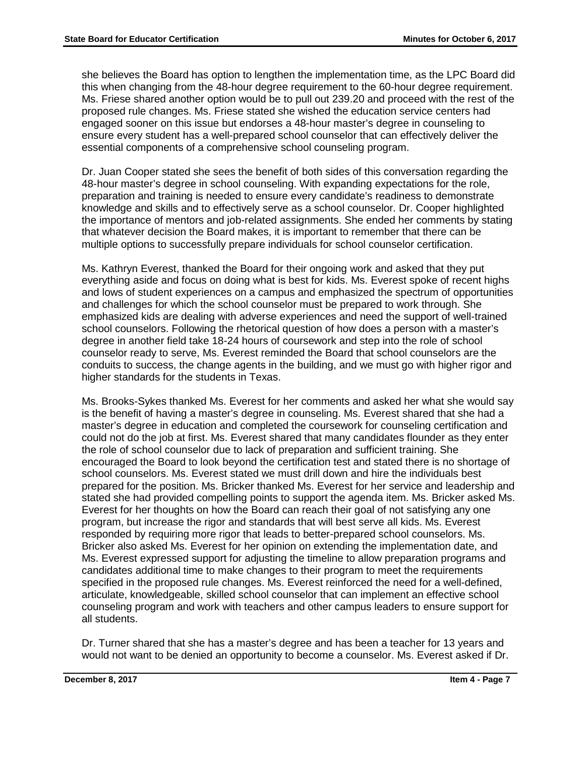she believes the Board has option to lengthen the implementation time, as the LPC Board did this when changing from the 48-hour degree requirement to the 60-hour degree requirement. Ms. Friese shared another option would be to pull out 239.20 and proceed with the rest of the proposed rule changes. Ms. Friese stated she wished the education service centers had engaged sooner on this issue but endorses a 48-hour master's degree in counseling to ensure every student has a well-prepared school counselor that can effectively deliver the essential components of a comprehensive school counseling program.

Dr. Juan Cooper stated she sees the benefit of both sides of this conversation regarding the 48-hour master's degree in school counseling. With expanding expectations for the role, preparation and training is needed to ensure every candidate's readiness to demonstrate knowledge and skills and to effectively serve as a school counselor. Dr. Cooper highlighted the importance of mentors and job-related assignments. She ended her comments by stating that whatever decision the Board makes, it is important to remember that there can be multiple options to successfully prepare individuals for school counselor certification.

Ms. Kathryn Everest, thanked the Board for their ongoing work and asked that they put everything aside and focus on doing what is best for kids. Ms. Everest spoke of recent highs and lows of student experiences on a campus and emphasized the spectrum of opportunities and challenges for which the school counselor must be prepared to work through. She emphasized kids are dealing with adverse experiences and need the support of well-trained school counselors. Following the rhetorical question of how does a person with a master's degree in another field take 18-24 hours of coursework and step into the role of school counselor ready to serve, Ms. Everest reminded the Board that school counselors are the conduits to success, the change agents in the building, and we must go with higher rigor and higher standards for the students in Texas.

Ms. Brooks-Sykes thanked Ms. Everest for her comments and asked her what she would say is the benefit of having a master's degree in counseling. Ms. Everest shared that she had a master's degree in education and completed the coursework for counseling certification and could not do the job at first. Ms. Everest shared that many candidates flounder as they enter the role of school counselor due to lack of preparation and sufficient training. She encouraged the Board to look beyond the certification test and stated there is no shortage of school counselors. Ms. Everest stated we must drill down and hire the individuals best prepared for the position. Ms. Bricker thanked Ms. Everest for her service and leadership and stated she had provided compelling points to support the agenda item. Ms. Bricker asked Ms. Everest for her thoughts on how the Board can reach their goal of not satisfying any one program, but increase the rigor and standards that will best serve all kids. Ms. Everest responded by requiring more rigor that leads to better-prepared school counselors. Ms. Bricker also asked Ms. Everest for her opinion on extending the implementation date, and Ms. Everest expressed support for adjusting the timeline to allow preparation programs and candidates additional time to make changes to their program to meet the requirements specified in the proposed rule changes. Ms. Everest reinforced the need for a well-defined, articulate, knowledgeable, skilled school counselor that can implement an effective school counseling program and work with teachers and other campus leaders to ensure support for all students.

Dr. Turner shared that she has a master's degree and has been a teacher for 13 years and would not want to be denied an opportunity to become a counselor. Ms. Everest asked if Dr.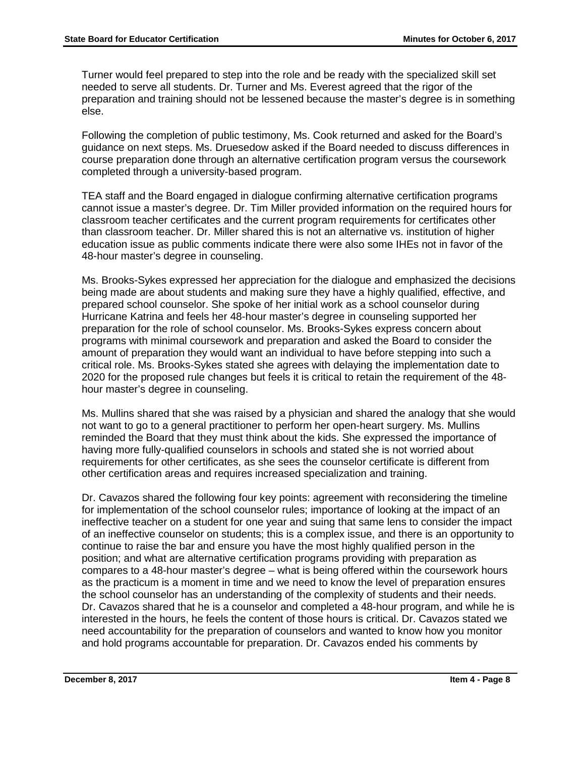Turner would feel prepared to step into the role and be ready with the specialized skill set needed to serve all students. Dr. Turner and Ms. Everest agreed that the rigor of the preparation and training should not be lessened because the master's degree is in something else.

Following the completion of public testimony, Ms. Cook returned and asked for the Board's guidance on next steps. Ms. Druesedow asked if the Board needed to discuss differences in course preparation done through an alternative certification program versus the coursework completed through a university-based program.

TEA staff and the Board engaged in dialogue confirming alternative certification programs cannot issue a master's degree. Dr. Tim Miller provided information on the required hours for classroom teacher certificates and the current program requirements for certificates other than classroom teacher. Dr. Miller shared this is not an alternative vs. institution of higher education issue as public comments indicate there were also some IHEs not in favor of the 48-hour master's degree in counseling.

Ms. Brooks-Sykes expressed her appreciation for the dialogue and emphasized the decisions being made are about students and making sure they have a highly qualified, effective, and prepared school counselor. She spoke of her initial work as a school counselor during Hurricane Katrina and feels her 48-hour master's degree in counseling supported her preparation for the role of school counselor. Ms. Brooks-Sykes express concern about programs with minimal coursework and preparation and asked the Board to consider the amount of preparation they would want an individual to have before stepping into such a critical role. Ms. Brooks-Sykes stated she agrees with delaying the implementation date to 2020 for the proposed rule changes but feels it is critical to retain the requirement of the 48 hour master's degree in counseling.

Ms. Mullins shared that she was raised by a physician and shared the analogy that she would not want to go to a general practitioner to perform her open-heart surgery. Ms. Mullins reminded the Board that they must think about the kids. She expressed the importance of having more fully-qualified counselors in schools and stated she is not worried about requirements for other certificates, as she sees the counselor certificate is different from other certification areas and requires increased specialization and training.

Dr. Cavazos shared the following four key points: agreement with reconsidering the timeline for implementation of the school counselor rules; importance of looking at the impact of an ineffective teacher on a student for one year and suing that same lens to consider the impact of an ineffective counselor on students; this is a complex issue, and there is an opportunity to continue to raise the bar and ensure you have the most highly qualified person in the position; and what are alternative certification programs providing with preparation as compares to a 48-hour master's degree – what is being offered within the coursework hours as the practicum is a moment in time and we need to know the level of preparation ensures the school counselor has an understanding of the complexity of students and their needs. Dr. Cavazos shared that he is a counselor and completed a 48-hour program, and while he is interested in the hours, he feels the content of those hours is critical. Dr. Cavazos stated we need accountability for the preparation of counselors and wanted to know how you monitor and hold programs accountable for preparation. Dr. Cavazos ended his comments by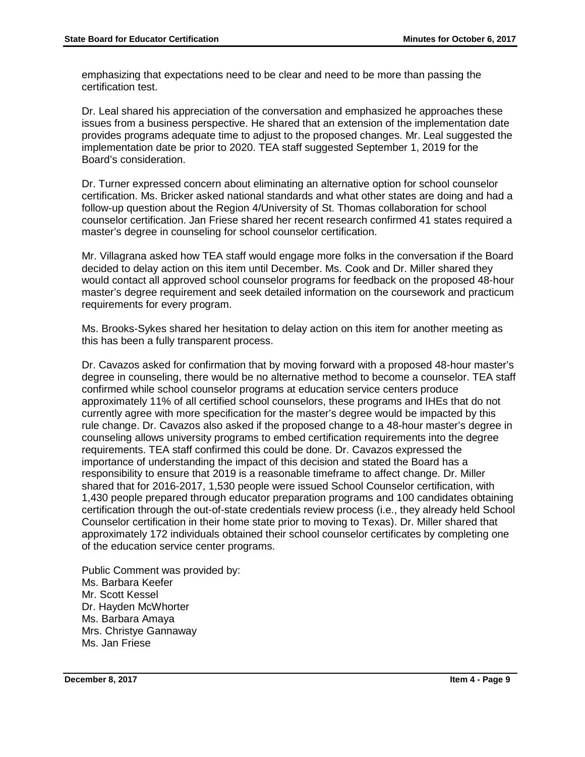emphasizing that expectations need to be clear and need to be more than passing the certification test.

Dr. Leal shared his appreciation of the conversation and emphasized he approaches these issues from a business perspective. He shared that an extension of the implementation date provides programs adequate time to adjust to the proposed changes. Mr. Leal suggested the implementation date be prior to 2020. TEA staff suggested September 1, 2019 for the Board's consideration.

Dr. Turner expressed concern about eliminating an alternative option for school counselor certification. Ms. Bricker asked national standards and what other states are doing and had a follow-up question about the Region 4/University of St. Thomas collaboration for school counselor certification. Jan Friese shared her recent research confirmed 41 states required a master's degree in counseling for school counselor certification.

Mr. Villagrana asked how TEA staff would engage more folks in the conversation if the Board decided to delay action on this item until December. Ms. Cook and Dr. Miller shared they would contact all approved school counselor programs for feedback on the proposed 48-hour master's degree requirement and seek detailed information on the coursework and practicum requirements for every program.

Ms. Brooks-Sykes shared her hesitation to delay action on this item for another meeting as this has been a fully transparent process.

Dr. Cavazos asked for confirmation that by moving forward with a proposed 48-hour master's degree in counseling, there would be no alternative method to become a counselor. TEA staff confirmed while school counselor programs at education service centers produce approximately 11% of all certified school counselors, these programs and IHEs that do not currently agree with more specification for the master's degree would be impacted by this rule change. Dr. Cavazos also asked if the proposed change to a 48-hour master's degree in counseling allows university programs to embed certification requirements into the degree requirements. TEA staff confirmed this could be done. Dr. Cavazos expressed the importance of understanding the impact of this decision and stated the Board has a responsibility to ensure that 2019 is a reasonable timeframe to affect change. Dr. Miller shared that for 2016-2017, 1,530 people were issued School Counselor certification, with 1,430 people prepared through educator preparation programs and 100 candidates obtaining certification through the out-of-state credentials review process (i.e., they already held School Counselor certification in their home state prior to moving to Texas). Dr. Miller shared that approximately 172 individuals obtained their school counselor certificates by completing one of the education service center programs.

Public Comment was provided by: Ms. Barbara Keefer Mr. Scott Kessel Dr. Hayden McWhorter Ms. Barbara Amaya Mrs. Christye Gannaway Ms. Jan Friese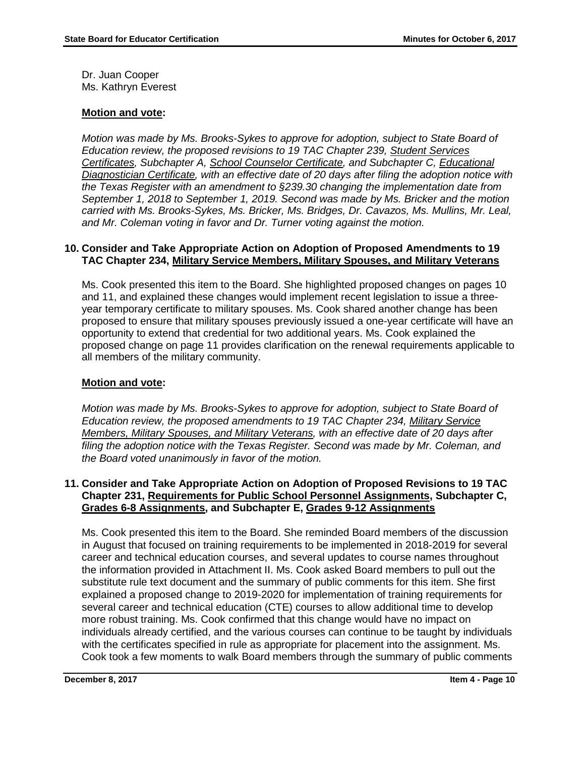Dr. Juan Cooper Ms. Kathryn Everest

#### **Motion and vote:**

*Motion was made by Ms. Brooks-Sykes to approve for adoption, subject to State Board of Education review, the proposed revisions to 19 TAC Chapter 239, Student Services Certificates, Subchapter A, School Counselor Certificate, and Subchapter C, Educational Diagnostician Certificate, with an effective date of 20 days after filing the adoption notice with the Texas Register with an amendment to §239.30 changing the implementation date from September 1, 2018 to September 1, 2019. Second was made by Ms. Bricker and the motion carried with Ms. Brooks-Sykes, Ms. Bricker, Ms. Bridges, Dr. Cavazos, Ms. Mullins, Mr. Leal, and Mr. Coleman voting in favor and Dr. Turner voting against the motion.* 

#### **10. Consider and Take Appropriate Action on Adoption of Proposed Amendments to 19 TAC Chapter 234, Military Service Members, Military Spouses, and Military Veterans**

Ms. Cook presented this item to the Board. She highlighted proposed changes on pages 10 and 11, and explained these changes would implement recent legislation to issue a threeyear temporary certificate to military spouses. Ms. Cook shared another change has been proposed to ensure that military spouses previously issued a one-year certificate will have an opportunity to extend that credential for two additional years. Ms. Cook explained the proposed change on page 11 provides clarification on the renewal requirements applicable to all members of the military community.

## **Motion and vote:**

*Motion was made by Ms. Brooks-Sykes to approve for adoption, subject to State Board of Education review, the proposed amendments to 19 TAC Chapter 234, Military Service Members, Military Spouses, and Military Veterans, with an effective date of 20 days after filing the adoption notice with the Texas Register. Second was made by Mr. Coleman, and the Board voted unanimously in favor of the motion.* 

#### **11. Consider and Take Appropriate Action on Adoption of Proposed Revisions to 19 TAC Chapter 231, Requirements for Public School Personnel Assignments, Subchapter C, Grades 6-8 Assignments, and Subchapter E, Grades 9-12 Assignments**

Ms. Cook presented this item to the Board. She reminded Board members of the discussion in August that focused on training requirements to be implemented in 2018-2019 for several career and technical education courses, and several updates to course names throughout the information provided in Attachment II. Ms. Cook asked Board members to pull out the substitute rule text document and the summary of public comments for this item. She first explained a proposed change to 2019-2020 for implementation of training requirements for several career and technical education (CTE) courses to allow additional time to develop more robust training. Ms. Cook confirmed that this change would have no impact on individuals already certified, and the various courses can continue to be taught by individuals with the certificates specified in rule as appropriate for placement into the assignment. Ms. Cook took a few moments to walk Board members through the summary of public comments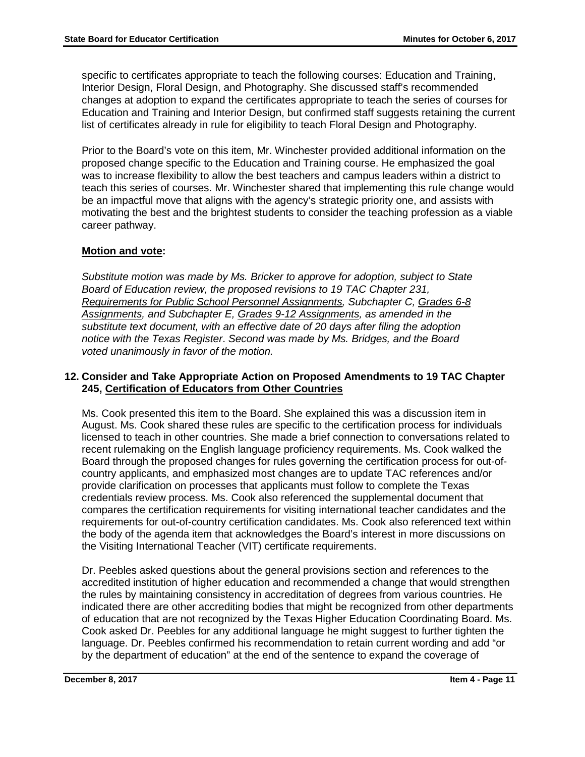specific to certificates appropriate to teach the following courses: Education and Training, Interior Design, Floral Design, and Photography. She discussed staff's recommended changes at adoption to expand the certificates appropriate to teach the series of courses for Education and Training and Interior Design, but confirmed staff suggests retaining the current list of certificates already in rule for eligibility to teach Floral Design and Photography.

Prior to the Board's vote on this item, Mr. Winchester provided additional information on the proposed change specific to the Education and Training course. He emphasized the goal was to increase flexibility to allow the best teachers and campus leaders within a district to teach this series of courses. Mr. Winchester shared that implementing this rule change would be an impactful move that aligns with the agency's strategic priority one, and assists with motivating the best and the brightest students to consider the teaching profession as a viable career pathway.

# **Motion and vote:**

*Substitute motion was made by Ms. Bricker to approve for adoption, subject to State Board of Education review, the proposed revisions to 19 TAC Chapter 231, Requirements for Public School Personnel Assignments, Subchapter C, Grades 6-8 Assignments, and Subchapter E, Grades 9-12 Assignments, as amended in the substitute text document, with an effective date of 20 days after filing the adoption notice with the Texas Register*. *Second was made by Ms. Bridges, and the Board voted unanimously in favor of the motion.*

## **12. Consider and Take Appropriate Action on Proposed Amendments to 19 TAC Chapter 245, Certification of Educators from Other Countries**

Ms. Cook presented this item to the Board. She explained this was a discussion item in August. Ms. Cook shared these rules are specific to the certification process for individuals licensed to teach in other countries. She made a brief connection to conversations related to recent rulemaking on the English language proficiency requirements. Ms. Cook walked the Board through the proposed changes for rules governing the certification process for out-ofcountry applicants, and emphasized most changes are to update TAC references and/or provide clarification on processes that applicants must follow to complete the Texas credentials review process. Ms. Cook also referenced the supplemental document that compares the certification requirements for visiting international teacher candidates and the requirements for out-of-country certification candidates. Ms. Cook also referenced text within the body of the agenda item that acknowledges the Board's interest in more discussions on the Visiting International Teacher (VIT) certificate requirements.

Dr. Peebles asked questions about the general provisions section and references to the accredited institution of higher education and recommended a change that would strengthen the rules by maintaining consistency in accreditation of degrees from various countries. He indicated there are other accrediting bodies that might be recognized from other departments of education that are not recognized by the Texas Higher Education Coordinating Board. Ms. Cook asked Dr. Peebles for any additional language he might suggest to further tighten the language. Dr. Peebles confirmed his recommendation to retain current wording and add "or by the department of education" at the end of the sentence to expand the coverage of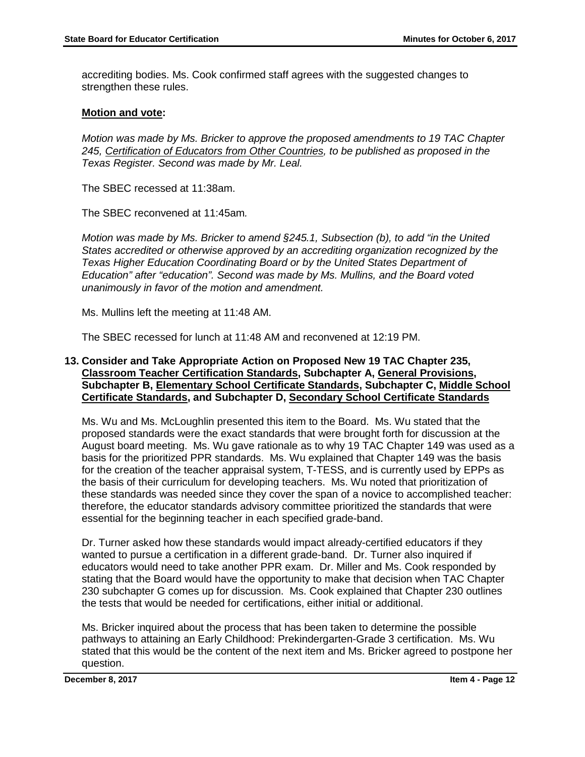accrediting bodies. Ms. Cook confirmed staff agrees with the suggested changes to strengthen these rules.

## **Motion and vote:**

*Motion was made by Ms. Bricker to approve the proposed amendments to 19 TAC Chapter 245, Certification of Educators from Other Countries, to be published as proposed in the Texas Register. Second was made by Mr. Leal.* 

The SBEC recessed at 11:38am.

The SBEC reconvened at 11:45am*.*

*Motion was made by Ms. Bricker to amend §245.1, Subsection (b), to add "in the United States accredited or otherwise approved by an accrediting organization recognized by the Texas Higher Education Coordinating Board or by the United States Department of Education" after "education". Second was made by Ms. Mullins, and the Board voted unanimously in favor of the motion and amendment.* 

Ms. Mullins left the meeting at 11:48 AM.

The SBEC recessed for lunch at 11:48 AM and reconvened at 12:19 PM.

## **13. Consider and Take Appropriate Action on Proposed New 19 TAC Chapter 235, Classroom Teacher Certification Standards, Subchapter A, General Provisions, Subchapter B, Elementary School Certificate Standards, Subchapter C, Middle School Certificate Standards, and Subchapter D, Secondary School Certificate Standards**

Ms. Wu and Ms. McLoughlin presented this item to the Board. Ms. Wu stated that the proposed standards were the exact standards that were brought forth for discussion at the August board meeting. Ms. Wu gave rationale as to why 19 TAC Chapter 149 was used as a basis for the prioritized PPR standards. Ms. Wu explained that Chapter 149 was the basis for the creation of the teacher appraisal system, T-TESS, and is currently used by EPPs as the basis of their curriculum for developing teachers. Ms. Wu noted that prioritization of these standards was needed since they cover the span of a novice to accomplished teacher: therefore, the educator standards advisory committee prioritized the standards that were essential for the beginning teacher in each specified grade-band.

Dr. Turner asked how these standards would impact already-certified educators if they wanted to pursue a certification in a different grade-band. Dr. Turner also inquired if educators would need to take another PPR exam. Dr. Miller and Ms. Cook responded by stating that the Board would have the opportunity to make that decision when TAC Chapter 230 subchapter G comes up for discussion. Ms. Cook explained that Chapter 230 outlines the tests that would be needed for certifications, either initial or additional.

Ms. Bricker inquired about the process that has been taken to determine the possible pathways to attaining an Early Childhood: Prekindergarten-Grade 3 certification. Ms. Wu stated that this would be the content of the next item and Ms. Bricker agreed to postpone her question.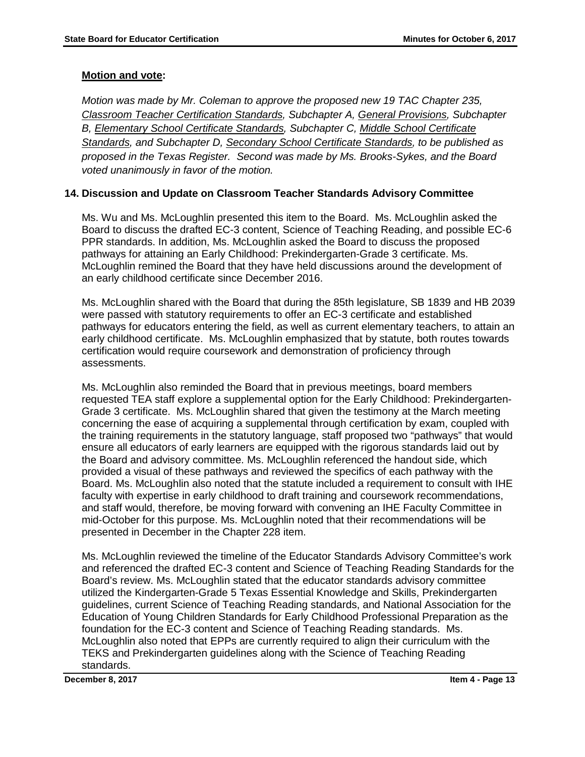*Motion was made by Mr. Coleman to approve the proposed new 19 TAC Chapter 235, Classroom Teacher Certification Standards, Subchapter A, General Provisions, Subchapter B, Elementary School Certificate Standards, Subchapter C, Middle School Certificate Standards, and Subchapter D, Secondary School Certificate Standards, to be published as proposed in the Texas Register. Second was made by Ms. Brooks-Sykes, and the Board voted unanimously in favor of the motion.*

# **14. Discussion and Update on Classroom Teacher Standards Advisory Committee**

Ms. Wu and Ms. McLoughlin presented this item to the Board. Ms. McLoughlin asked the Board to discuss the drafted EC-3 content, Science of Teaching Reading, and possible EC-6 PPR standards. In addition, Ms. McLoughlin asked the Board to discuss the proposed pathways for attaining an Early Childhood: Prekindergarten-Grade 3 certificate. Ms. McLoughlin remined the Board that they have held discussions around the development of an early childhood certificate since December 2016.

Ms. McLoughlin shared with the Board that during the 85th legislature, SB 1839 and HB 2039 were passed with statutory requirements to offer an EC-3 certificate and established pathways for educators entering the field, as well as current elementary teachers, to attain an early childhood certificate. Ms. McLoughlin emphasized that by statute, both routes towards certification would require coursework and demonstration of proficiency through assessments.

Ms. McLoughlin also reminded the Board that in previous meetings, board members requested TEA staff explore a supplemental option for the Early Childhood: Prekindergarten-Grade 3 certificate. Ms. McLoughlin shared that given the testimony at the March meeting concerning the ease of acquiring a supplemental through certification by exam, coupled with the training requirements in the statutory language, staff proposed two "pathways" that would ensure all educators of early learners are equipped with the rigorous standards laid out by the Board and advisory committee. Ms. McLoughlin referenced the handout side, which provided a visual of these pathways and reviewed the specifics of each pathway with the Board. Ms. McLoughlin also noted that the statute included a requirement to consult with IHE faculty with expertise in early childhood to draft training and coursework recommendations, and staff would, therefore, be moving forward with convening an IHE Faculty Committee in mid-October for this purpose. Ms. McLoughlin noted that their recommendations will be presented in December in the Chapter 228 item.

Ms. McLoughlin reviewed the timeline of the Educator Standards Advisory Committee's work and referenced the drafted EC-3 content and Science of Teaching Reading Standards for the Board's review. Ms. McLoughlin stated that the educator standards advisory committee utilized the Kindergarten-Grade 5 Texas Essential Knowledge and Skills, Prekindergarten guidelines, current Science of Teaching Reading standards, and National Association for the Education of Young Children Standards for Early Childhood Professional Preparation as the foundation for the EC-3 content and Science of Teaching Reading standards. Ms. McLoughlin also noted that EPPs are currently required to align their curriculum with the TEKS and Prekindergarten guidelines along with the Science of Teaching Reading standards.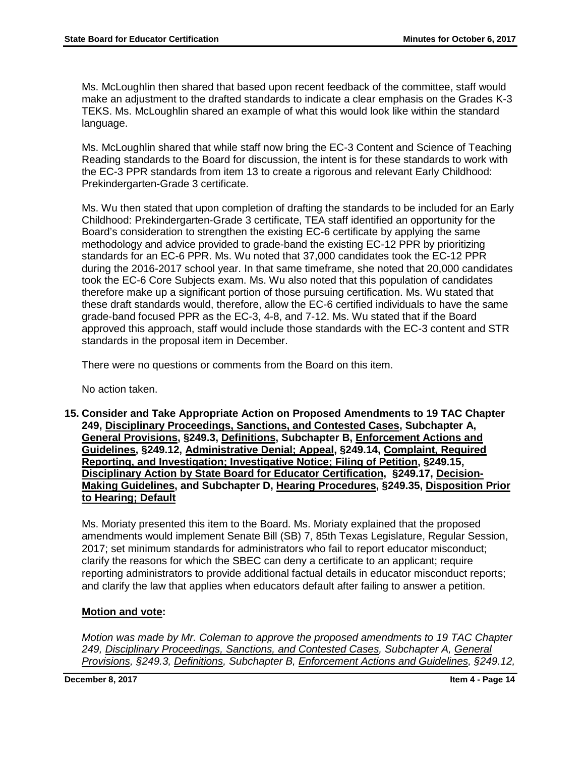Ms. McLoughlin then shared that based upon recent feedback of the committee, staff would make an adjustment to the drafted standards to indicate a clear emphasis on the Grades K-3 TEKS. Ms. McLoughlin shared an example of what this would look like within the standard language.

Ms. McLoughlin shared that while staff now bring the EC-3 Content and Science of Teaching Reading standards to the Board for discussion, the intent is for these standards to work with the EC-3 PPR standards from item 13 to create a rigorous and relevant Early Childhood: Prekindergarten-Grade 3 certificate.

Ms. Wu then stated that upon completion of drafting the standards to be included for an Early Childhood: Prekindergarten-Grade 3 certificate, TEA staff identified an opportunity for the Board's consideration to strengthen the existing EC-6 certificate by applying the same methodology and advice provided to grade-band the existing EC-12 PPR by prioritizing standards for an EC-6 PPR. Ms. Wu noted that 37,000 candidates took the EC-12 PPR during the 2016-2017 school year. In that same timeframe, she noted that 20,000 candidates took the EC-6 Core Subjects exam. Ms. Wu also noted that this population of candidates therefore make up a significant portion of those pursuing certification. Ms. Wu stated that these draft standards would, therefore, allow the EC-6 certified individuals to have the same grade-band focused PPR as the EC-3, 4-8, and 7-12. Ms. Wu stated that if the Board approved this approach, staff would include those standards with the EC-3 content and STR standards in the proposal item in December.

There were no questions or comments from the Board on this item.

No action taken.

**15. Consider and Take Appropriate Action on Proposed Amendments to 19 TAC Chapter 249, Disciplinary Proceedings, Sanctions, and Contested Cases, Subchapter A, General Provisions, §249.3, Definitions, Subchapter B, Enforcement Actions and Guidelines, §249.12, Administrative Denial; Appeal, §249.14, Complaint, Required Reporting, and Investigation; Investigative Notice; Filing of Petition, §249.15, Disciplinary Action by State Board for Educator Certification, §249.17, Decision-Making Guidelines, and Subchapter D, Hearing Procedures, §249.35, Disposition Prior to Hearing; Default**

Ms. Moriaty presented this item to the Board. Ms. Moriaty explained that the proposed amendments would implement Senate Bill (SB) 7, 85th Texas Legislature, Regular Session, 2017; set minimum standards for administrators who fail to report educator misconduct; clarify the reasons for which the SBEC can deny a certificate to an applicant; require reporting administrators to provide additional factual details in educator misconduct reports; and clarify the law that applies when educators default after failing to answer a petition.

## **Motion and vote:**

*Motion was made by Mr. Coleman to approve the proposed amendments to 19 TAC Chapter 249, Disciplinary Proceedings, Sanctions, and Contested Cases, Subchapter A, General Provisions, §249.3, Definitions, Subchapter B, Enforcement Actions and Guidelines, §249.12,*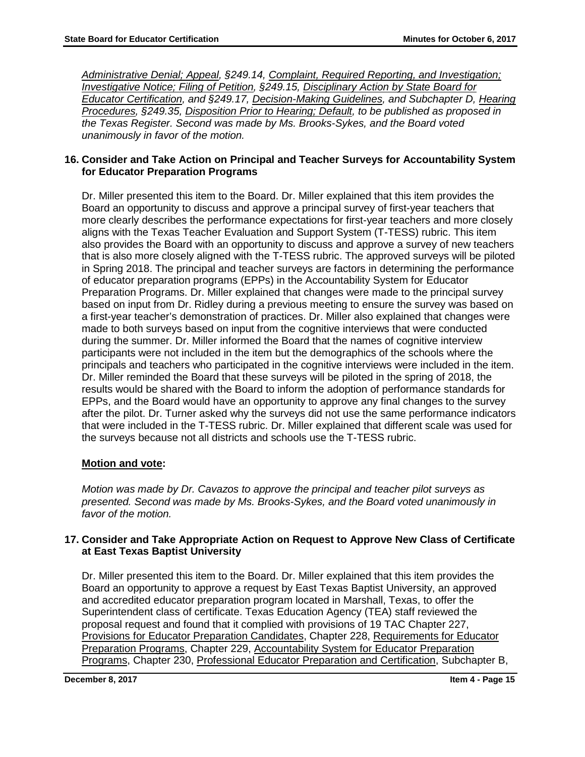*Administrative Denial; Appeal, §249.14, Complaint, Required Reporting, and Investigation; Investigative Notice; Filing of Petition, §249.15, Disciplinary Action by State Board for Educator Certification, and §249.17, Decision-Making Guidelines, and Subchapter D, Hearing Procedures, §249.35, Disposition Prior to Hearing; Default, to be published as proposed in the Texas Register. Second was made by Ms. Brooks-Sykes, and the Board voted unanimously in favor of the motion.* 

## **16. Consider and Take Action on Principal and Teacher Surveys for Accountability System for Educator Preparation Programs**

Dr. Miller presented this item to the Board. Dr. Miller explained that this item provides the Board an opportunity to discuss and approve a principal survey of first-year teachers that more clearly describes the performance expectations for first-year teachers and more closely aligns with the Texas Teacher Evaluation and Support System (T-TESS) rubric. This item also provides the Board with an opportunity to discuss and approve a survey of new teachers that is also more closely aligned with the T-TESS rubric. The approved surveys will be piloted in Spring 2018. The principal and teacher surveys are factors in determining the performance of educator preparation programs (EPPs) in the Accountability System for Educator Preparation Programs. Dr. Miller explained that changes were made to the principal survey based on input from Dr. Ridley during a previous meeting to ensure the survey was based on a first-year teacher's demonstration of practices. Dr. Miller also explained that changes were made to both surveys based on input from the cognitive interviews that were conducted during the summer. Dr. Miller informed the Board that the names of cognitive interview participants were not included in the item but the demographics of the schools where the principals and teachers who participated in the cognitive interviews were included in the item. Dr. Miller reminded the Board that these surveys will be piloted in the spring of 2018, the results would be shared with the Board to inform the adoption of performance standards for EPPs, and the Board would have an opportunity to approve any final changes to the survey after the pilot. Dr. Turner asked why the surveys did not use the same performance indicators that were included in the T-TESS rubric. Dr. Miller explained that different scale was used for the surveys because not all districts and schools use the T-TESS rubric.

# **Motion and vote:**

*Motion was made by Dr. Cavazos to approve the principal and teacher pilot surveys as presented. Second was made by Ms. Brooks-Sykes, and the Board voted unanimously in favor of the motion.* 

## **17. [Consider and Take Appropriate Action on Request to Approve New Class](http://tea.texas.gov/WorkArea/linkit.aspx?LinkIdentifier=id&ItemID=25769820383&libID=25769820490) of Certificate at East Texas Baptist University**

Dr. Miller presented this item to the Board. Dr. Miller explained that this item provides the Board an opportunity to approve a request by East Texas Baptist University, an approved and accredited educator preparation program located in Marshall, Texas, to offer the Superintendent class of certificate. Texas Education Agency (TEA) staff reviewed the proposal request and found that it complied with provisions of 19 TAC Chapter 227, Provisions for Educator Preparation Candidates, Chapter 228, Requirements for Educator Preparation Programs, Chapter 229, Accountability System for Educator Preparation Programs, Chapter 230, Professional Educator Preparation and Certification, Subchapter B,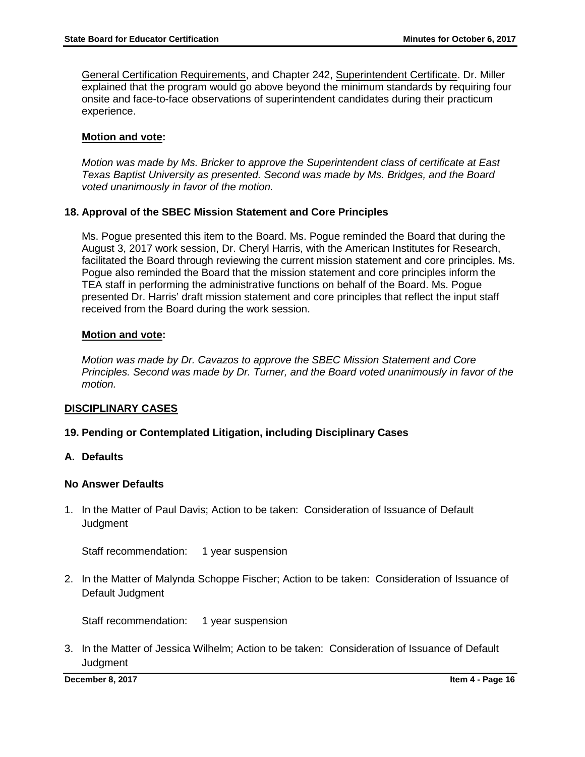General Certification Requirements, and Chapter 242, Superintendent Certificate. Dr. Miller explained that the program would go above beyond the minimum standards by requiring four onsite and face-to-face observations of superintendent candidates during their practicum experience.

## **Motion and vote:**

*Motion was made by Ms. Bricker to approve the Superintendent class of certificate at East Texas Baptist University as presented. Second was made by Ms. Bridges, and the Board voted unanimously in favor of the motion.* 

## **18. Approval of the SBEC Mission Statement and Core Principles**

Ms. Pogue presented this item to the Board. Ms. Pogue reminded the Board that during the August 3, 2017 work session, Dr. Cheryl Harris, with the American Institutes for Research, facilitated the Board through reviewing the current mission statement and core principles. Ms. Pogue also reminded the Board that the mission statement and core principles inform the TEA staff in performing the administrative functions on behalf of the Board. Ms. Pogue presented Dr. Harris' draft mission statement and core principles that reflect the input staff received from the Board during the work session.

## **Motion and vote:**

*Motion was made by Dr. Cavazos to approve the SBEC Mission Statement and Core Principles. Second was made by Dr. Turner, and the Board voted unanimously in favor of the motion.* 

## **DISCIPLINARY CASES**

# **19. Pending or Contemplated Litigation, including Disciplinary Cases**

## **A. Defaults**

## **No Answer Defaults**

1. In the Matter of Paul Davis; Action to be taken: Consideration of Issuance of Default **Judgment** 

Staff recommendation: 1 year suspension

2. In the Matter of Malynda Schoppe Fischer; Action to be taken: Consideration of Issuance of Default Judgment

Staff recommendation: 1 year suspension

3. In the Matter of Jessica Wilhelm; Action to be taken: Consideration of Issuance of Default **Judgment**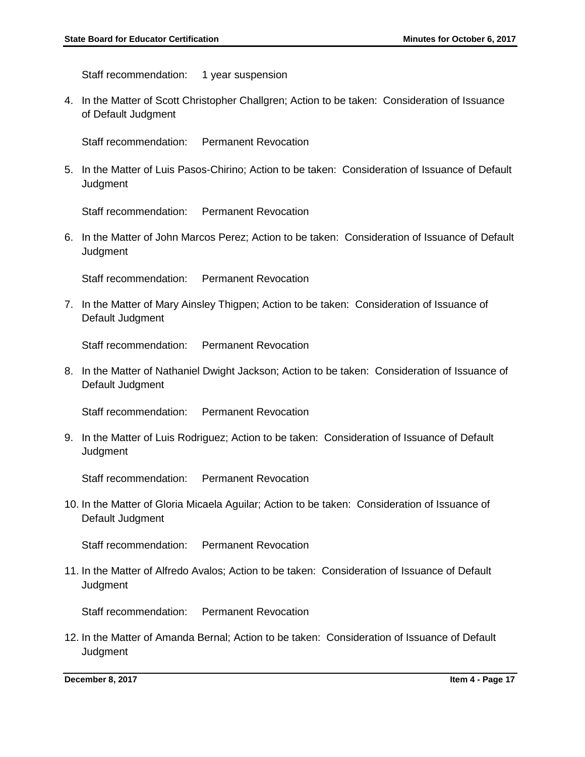Staff recommendation: 1 year suspension

4. In the Matter of Scott Christopher Challgren; Action to be taken: Consideration of Issuance of Default Judgment

Staff recommendation: Permanent Revocation

5. In the Matter of Luis Pasos-Chirino; Action to be taken: Consideration of Issuance of Default **Judgment** 

Staff recommendation: Permanent Revocation

6. In the Matter of John Marcos Perez; Action to be taken: Consideration of Issuance of Default **Judgment** 

Staff recommendation: Permanent Revocation

7. In the Matter of Mary Ainsley Thigpen; Action to be taken: Consideration of Issuance of Default Judgment

Staff recommendation: Permanent Revocation

8. In the Matter of Nathaniel Dwight Jackson; Action to be taken: Consideration of Issuance of Default Judgment

Staff recommendation: Permanent Revocation

9. In the Matter of Luis Rodriguez; Action to be taken: Consideration of Issuance of Default **Judgment** 

Staff recommendation: Permanent Revocation

10. In the Matter of Gloria Micaela Aguilar; Action to be taken: Consideration of Issuance of Default Judgment

Staff recommendation: Permanent Revocation

11. In the Matter of Alfredo Avalos; Action to be taken: Consideration of Issuance of Default **Judgment** 

Staff recommendation: Permanent Revocation

12. In the Matter of Amanda Bernal; Action to be taken: Consideration of Issuance of Default **Judgment** 

**December 8, 2017 Item 4 - Page 17**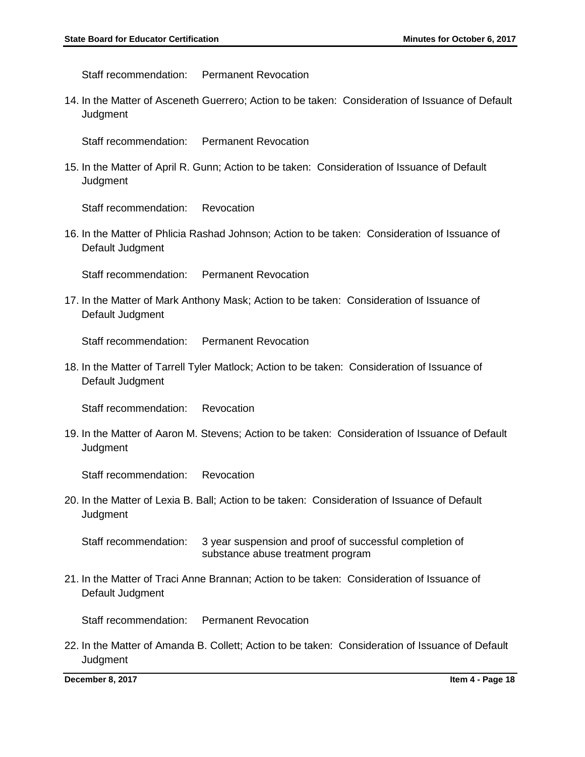Staff recommendation: Permanent Revocation

14. In the Matter of Asceneth Guerrero; Action to be taken: Consideration of Issuance of Default **Judgment** 

Staff recommendation: Permanent Revocation

15. In the Matter of April R. Gunn; Action to be taken: Consideration of Issuance of Default **Judgment** 

Staff recommendation: Revocation

16. In the Matter of Phlicia Rashad Johnson; Action to be taken: Consideration of Issuance of Default Judgment

Staff recommendation: Permanent Revocation

17. In the Matter of Mark Anthony Mask; Action to be taken: Consideration of Issuance of Default Judgment

Staff recommendation: Permanent Revocation

18. In the Matter of Tarrell Tyler Matlock; Action to be taken: Consideration of Issuance of Default Judgment

Staff recommendation: Revocation

19. In the Matter of Aaron M. Stevens; Action to be taken: Consideration of Issuance of Default **Judgment** 

Staff recommendation: Revocation

20. In the Matter of Lexia B. Ball; Action to be taken: Consideration of Issuance of Default Judgment

Staff recommendation: 3 year suspension and proof of successful completion of substance abuse treatment program

21. In the Matter of Traci Anne Brannan; Action to be taken: Consideration of Issuance of Default Judgment

Staff recommendation: Permanent Revocation

22. In the Matter of Amanda B. Collett; Action to be taken: Consideration of Issuance of Default **Judgment** 

**December 8, 2017 Item 4 - Page 18**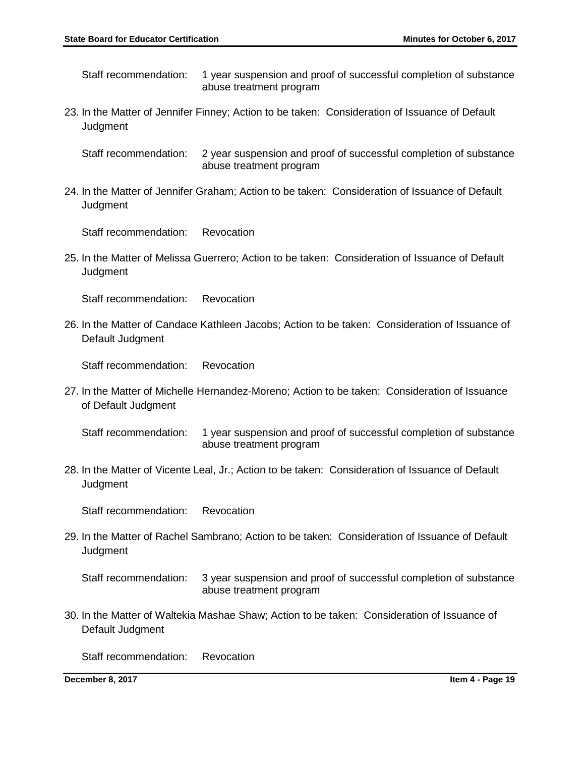Staff recommendation: 1 year suspension and proof of successful completion of substance abuse treatment program

- 23. In the Matter of Jennifer Finney; Action to be taken: Consideration of Issuance of Default **Judgment** 
	- Staff recommendation: 2 year suspension and proof of successful completion of substance abuse treatment program
- 24. In the Matter of Jennifer Graham; Action to be taken: Consideration of Issuance of Default **Judgment**

Staff recommendation: Revocation

25. In the Matter of Melissa Guerrero; Action to be taken: Consideration of Issuance of Default **Judgment** 

Staff recommendation: Revocation

26. In the Matter of Candace Kathleen Jacobs; Action to be taken: Consideration of Issuance of Default Judgment

Staff recommendation: Revocation

27. In the Matter of Michelle Hernandez-Moreno; Action to be taken: Consideration of Issuance of Default Judgment

Staff recommendation: 1 year suspension and proof of successful completion of substance abuse treatment program

28. In the Matter of Vicente Leal, Jr.; Action to be taken: Consideration of Issuance of Default **Judgment** 

Staff recommendation: Revocation

- 29. In the Matter of Rachel Sambrano; Action to be taken: Consideration of Issuance of Default **Judgment** 
	- Staff recommendation: 3 year suspension and proof of successful completion of substance abuse treatment program
- 30. In the Matter of Waltekia Mashae Shaw; Action to be taken: Consideration of Issuance of Default Judgment

Staff recommendation: Revocation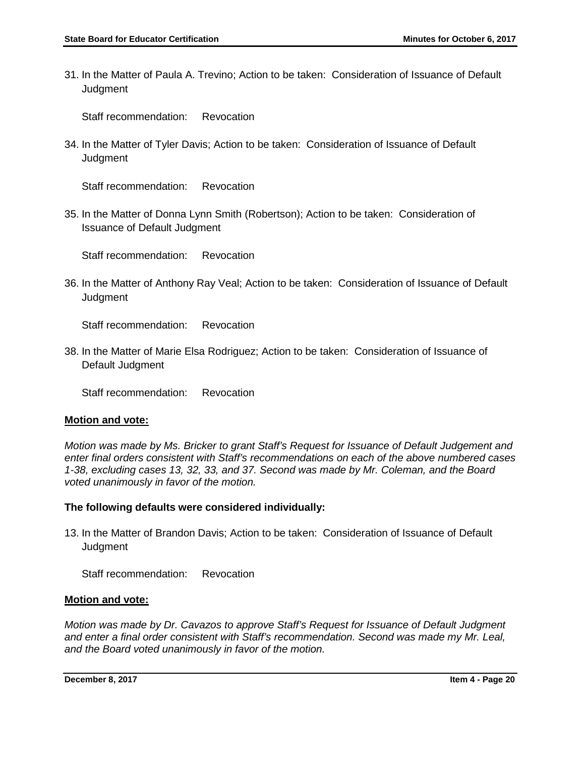31. In the Matter of Paula A. Trevino; Action to be taken: Consideration of Issuance of Default **Judgment** 

Staff recommendation: Revocation

34. In the Matter of Tyler Davis; Action to be taken: Consideration of Issuance of Default **Judgment** 

Staff recommendation: Revocation

35. In the Matter of Donna Lynn Smith (Robertson); Action to be taken: Consideration of Issuance of Default Judgment

Staff recommendation: Revocation

36. In the Matter of Anthony Ray Veal; Action to be taken: Consideration of Issuance of Default **Judgment** 

Staff recommendation: Revocation

38. In the Matter of Marie Elsa Rodriguez; Action to be taken: Consideration of Issuance of Default Judgment

Staff recommendation: Revocation

# **Motion and vote:**

*Motion was made by Ms. Bricker to grant Staff's Request for Issuance of Default Judgement and enter final orders consistent with Staff's recommendations on each of the above numbered cases 1-38, excluding cases 13, 32, 33, and 37. Second was made by Mr. Coleman, and the Board voted unanimously in favor of the motion.* 

# **The following defaults were considered individually:**

13. In the Matter of Brandon Davis; Action to be taken: Consideration of Issuance of Default **Judgment** 

Staff recommendation: Revocation

# **Motion and vote:**

*Motion was made by Dr. Cavazos to approve Staff's Request for Issuance of Default Judgment and enter a final order consistent with Staff's recommendation. Second was made my Mr. Leal, and the Board voted unanimously in favor of the motion.* 

**December 8, 2017 Item 4 - Page 20**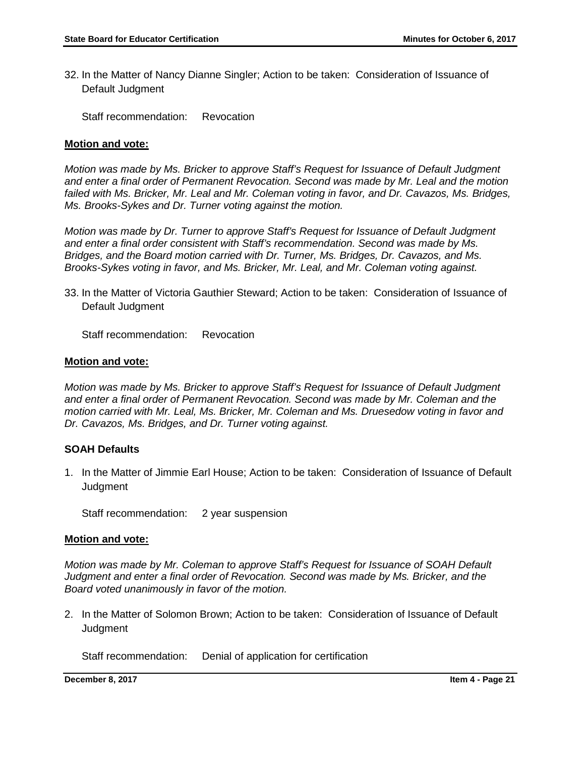32. In the Matter of Nancy Dianne Singler; Action to be taken: Consideration of Issuance of Default Judgment

Staff recommendation: Revocation

#### **Motion and vote:**

*Motion was made by Ms. Bricker to approve Staff's Request for Issuance of Default Judgment and enter a final order of Permanent Revocation. Second was made by Mr. Leal and the motion failed with Ms. Bricker, Mr. Leal and Mr. Coleman voting in favor, and Dr. Cavazos, Ms. Bridges, Ms. Brooks-Sykes and Dr. Turner voting against the motion.* 

*Motion was made by Dr. Turner to approve Staff's Request for Issuance of Default Judgment and enter a final order consistent with Staff's recommendation. Second was made by Ms. Bridges, and the Board motion carried with Dr. Turner, Ms. Bridges, Dr. Cavazos, and Ms. Brooks-Sykes voting in favor, and Ms. Bricker, Mr. Leal, and Mr. Coleman voting against.*

33. In the Matter of Victoria Gauthier Steward; Action to be taken: Consideration of Issuance of Default Judgment

Staff recommendation: Revocation

#### **Motion and vote:**

*Motion was made by Ms. Bricker to approve Staff's Request for Issuance of Default Judgment and enter a final order of Permanent Revocation. Second was made by Mr. Coleman and the motion carried with Mr. Leal, Ms. Bricker, Mr. Coleman and Ms. Druesedow voting in favor and Dr. Cavazos, Ms. Bridges, and Dr. Turner voting against.* 

## **SOAH Defaults**

1. In the Matter of Jimmie Earl House; Action to be taken: Consideration of Issuance of Default **Judgment** 

Staff recommendation: 2 year suspension

## **Motion and vote:**

*Motion was made by Mr. Coleman to approve Staff's Request for Issuance of SOAH Default Judgment and enter a final order of Revocation. Second was made by Ms. Bricker, and the Board voted unanimously in favor of the motion.*

2. In the Matter of Solomon Brown; Action to be taken: Consideration of Issuance of Default **Judament** 

Staff recommendation: Denial of application for certification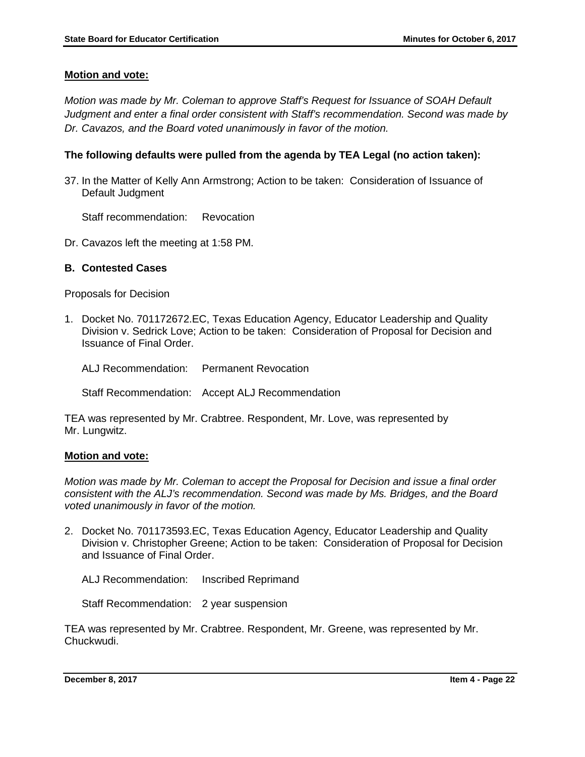*Motion was made by Mr. Coleman to approve Staff's Request for Issuance of SOAH Default Judgment and enter a final order consistent with Staff's recommendation. Second was made by Dr. Cavazos, and the Board voted unanimously in favor of the motion.* 

## **The following defaults were pulled from the agenda by TEA Legal (no action taken):**

37. In the Matter of Kelly Ann Armstrong; Action to be taken: Consideration of Issuance of Default Judgment

Staff recommendation: Revocation

Dr. Cavazos left the meeting at 1:58 PM.

## **B. Contested Cases**

Proposals for Decision

1. Docket No. 701172672.EC, Texas Education Agency, Educator Leadership and Quality Division v. Sedrick Love; Action to be taken: Consideration of Proposal for Decision and Issuance of Final Order.

ALJ Recommendation: Permanent Revocation

Staff Recommendation: Accept ALJ Recommendation

TEA was represented by Mr. Crabtree. Respondent, Mr. Love, was represented by Mr. Lungwitz.

#### **Motion and vote:**

*Motion was made by Mr. Coleman to accept the Proposal for Decision and issue a final order consistent with the ALJ's recommendation. Second was made by Ms. Bridges, and the Board voted unanimously in favor of the motion.* 

2. Docket No. 701173593.EC, Texas Education Agency, Educator Leadership and Quality Division v. Christopher Greene; Action to be taken: Consideration of Proposal for Decision and Issuance of Final Order.

ALJ Recommendation: Inscribed Reprimand

Staff Recommendation: 2 year suspension

TEA was represented by Mr. Crabtree. Respondent, Mr. Greene, was represented by Mr. Chuckwudi.

**December 8, 2017 Item 4 - Page 22**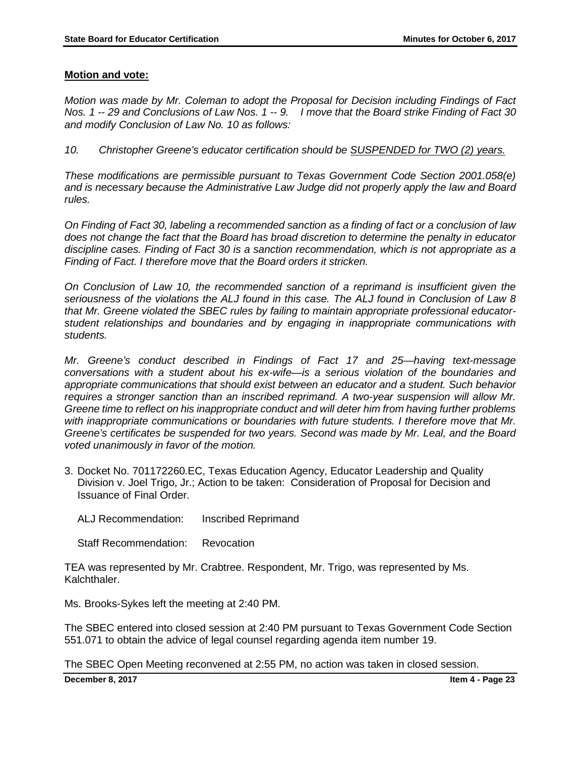*Motion was made by Mr. Coleman to adopt the Proposal for Decision including Findings of Fact Nos. 1 -- 29 and Conclusions of Law Nos. 1 -- 9. I move that the Board strike Finding of Fact 30 and modify Conclusion of Law No. 10 as follows:*

*10. Christopher Greene's educator certification should be SUSPENDED for TWO (2) years.* 

*These modifications are permissible pursuant to Texas Government Code Section 2001.058(e) and is necessary because the Administrative Law Judge did not properly apply the law and Board rules.* 

*On Finding of Fact 30, labeling a recommended sanction as a finding of fact or a conclusion of law does not change the fact that the Board has broad discretion to determine the penalty in educator discipline cases. Finding of Fact 30 is a sanction recommendation, which is not appropriate as a Finding of Fact. I therefore move that the Board orders it stricken.* 

*On Conclusion of Law 10, the recommended sanction of a reprimand is insufficient given the seriousness of the violations the ALJ found in this case. The ALJ found in Conclusion of Law 8 that Mr. Greene violated the SBEC rules by failing to maintain appropriate professional educatorstudent relationships and boundaries and by engaging in inappropriate communications with students.* 

*Mr. Greene's conduct described in Findings of Fact 17 and 25—having text-message conversations with a student about his ex-wife—is a serious violation of the boundaries and appropriate communications that should exist between an educator and a student. Such behavior requires a stronger sanction than an inscribed reprimand. A two-year suspension will allow Mr. Greene time to reflect on his inappropriate conduct and will deter him from having further problems with inappropriate communications or boundaries with future students. I therefore move that Mr. Greene's certificates be suspended for two years. Second was made by Mr. Leal, and the Board voted unanimously in favor of the motion.* 

3. Docket No. 701172260.EC, Texas Education Agency, Educator Leadership and Quality Division v. Joel Trigo, Jr.; Action to be taken: Consideration of Proposal for Decision and Issuance of Final Order.

ALJ Recommendation: Inscribed Reprimand

Staff Recommendation: Revocation

TEA was represented by Mr. Crabtree. Respondent, Mr. Trigo, was represented by Ms. Kalchthaler.

Ms. Brooks-Sykes left the meeting at 2:40 PM.

The SBEC entered into closed session at 2:40 PM pursuant to Texas Government Code Section 551.071 to obtain the advice of legal counsel regarding agenda item number 19.

The SBEC Open Meeting reconvened at 2:55 PM, no action was taken in closed session.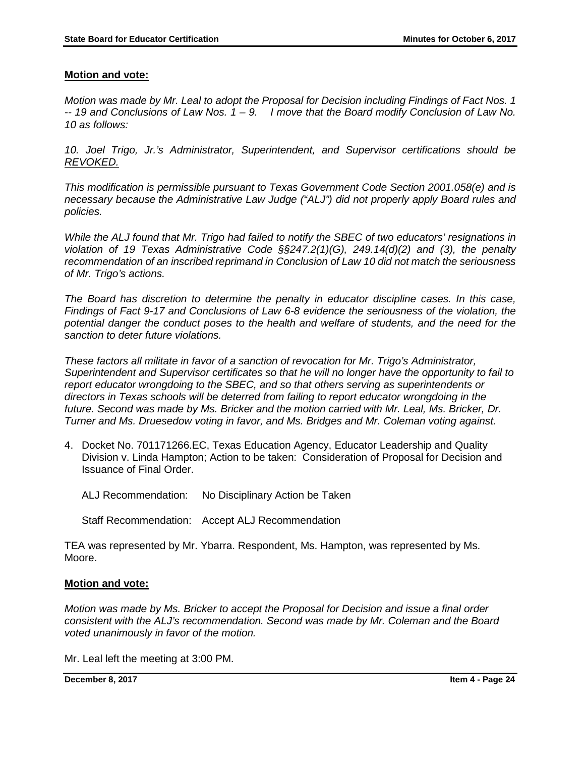*Motion was made by Mr. Leal to adopt the Proposal for Decision including Findings of Fact Nos. 1 -- 19 and Conclusions of Law Nos. 1 – 9. I move that the Board modify Conclusion of Law No. 10 as follows:*

*10. Joel Trigo, Jr.'s Administrator, Superintendent, and Supervisor certifications should be REVOKED.* 

*This modification is permissible pursuant to Texas Government Code Section 2001.058(e) and is necessary because the Administrative Law Judge ("ALJ") did not properly apply Board rules and policies.* 

*While the ALJ found that Mr. Trigo had failed to notify the SBEC of two educators' resignations in violation of 19 Texas Administrative Code §§247.2(1)(G), 249.14(d)(2) and (3), the penalty recommendation of an inscribed reprimand in Conclusion of Law 10 did not match the seriousness of Mr. Trigo's actions.* 

*The Board has discretion to determine the penalty in educator discipline cases. In this case, Findings of Fact 9-17 and Conclusions of Law 6-8 evidence the seriousness of the violation, the*  potential danger the conduct poses to the health and welfare of students, and the need for the *sanction to deter future violations.* 

*These factors all militate in favor of a sanction of revocation for Mr. Trigo's Administrator, Superintendent and Supervisor certificates so that he will no longer have the opportunity to fail to report educator wrongdoing to the SBEC, and so that others serving as superintendents or directors in Texas schools will be deterred from failing to report educator wrongdoing in the future. Second was made by Ms. Bricker and the motion carried with Mr. Leal, Ms. Bricker, Dr. Turner and Ms. Druesedow voting in favor, and Ms. Bridges and Mr. Coleman voting against.* 

4. Docket No. 701171266.EC, Texas Education Agency, Educator Leadership and Quality Division v. Linda Hampton; Action to be taken: Consideration of Proposal for Decision and Issuance of Final Order.

ALJ Recommendation: No Disciplinary Action be Taken

Staff Recommendation: Accept ALJ Recommendation

TEA was represented by Mr. Ybarra. Respondent, Ms. Hampton, was represented by Ms. Moore.

## **Motion and vote:**

*Motion was made by Ms. Bricker to accept the Proposal for Decision and issue a final order consistent with the ALJ's recommendation. Second was made by Mr. Coleman and the Board voted unanimously in favor of the motion.* 

Mr. Leal left the meeting at 3:00 PM.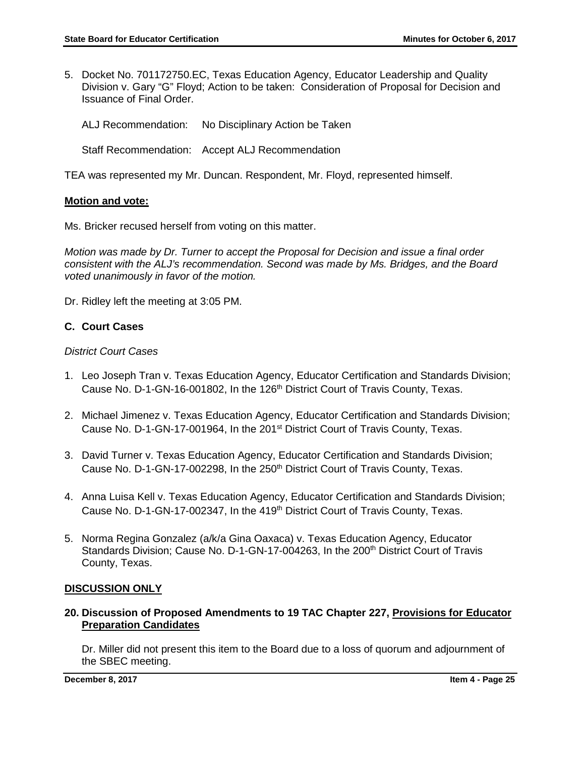- 5. Docket No. 701172750.EC, Texas Education Agency, Educator Leadership and Quality Division v. Gary "G" Floyd; Action to be taken: Consideration of Proposal for Decision and Issuance of Final Order.
	- ALJ Recommendation: No Disciplinary Action be Taken
	- Staff Recommendation: Accept ALJ Recommendation

TEA was represented my Mr. Duncan. Respondent, Mr. Floyd, represented himself.

#### **Motion and vote:**

Ms. Bricker recused herself from voting on this matter.

*Motion was made by Dr. Turner to accept the Proposal for Decision and issue a final order consistent with the ALJ's recommendation. Second was made by Ms. Bridges, and the Board voted unanimously in favor of the motion.* 

Dr. Ridley left the meeting at 3:05 PM.

## **C. Court Cases**

#### *District Court Cases*

- 1. Leo Joseph Tran v. Texas Education Agency, Educator Certification and Standards Division; Cause No. D-1-GN-16-001802, In the 126<sup>th</sup> District Court of Travis County, Texas.
- 2. Michael Jimenez v. Texas Education Agency, Educator Certification and Standards Division; Cause No. D-1-GN-17-001964, In the 201<sup>st</sup> District Court of Travis County, Texas.
- 3. David Turner v. Texas Education Agency, Educator Certification and Standards Division; Cause No. D-1-GN-17-002298, In the 250<sup>th</sup> District Court of Travis County, Texas.
- 4. Anna Luisa Kell v. Texas Education Agency, Educator Certification and Standards Division; Cause No. D-1-GN-17-002347, In the 419<sup>th</sup> District Court of Travis County, Texas.
- 5. Norma Regina Gonzalez (a/k/a Gina Oaxaca) v. Texas Education Agency, Educator Standards Division; Cause No. D-1-GN-17-004263, In the 200<sup>th</sup> District Court of Travis County, Texas.

## **DISCUSSION ONLY**

## **20. Discussion of Proposed Amendments to 19 TAC Chapter 227, Provisions for Educator Preparation Candidates**

Dr. Miller did not present this item to the Board due to a loss of quorum and adjournment of the SBEC meeting.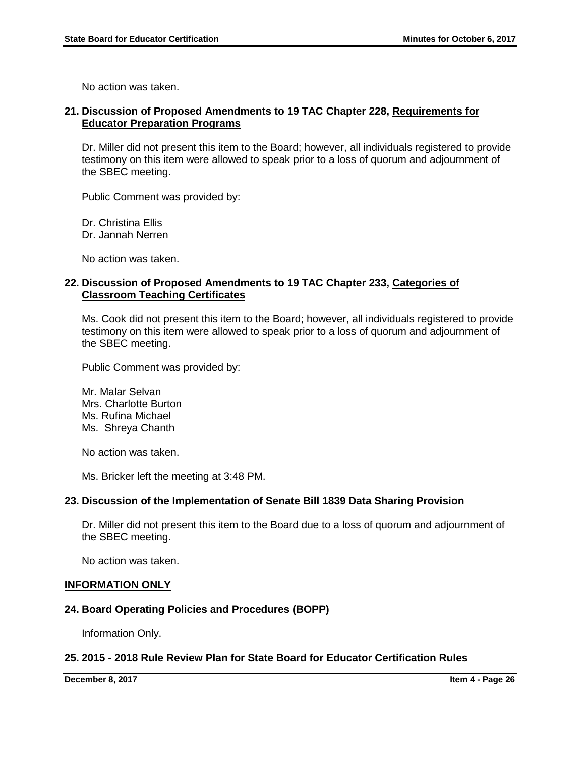No action was taken.

## **21. Discussion of Proposed Amendments to 19 TAC Chapter 228, Requirements for Educator Preparation Programs**

Dr. Miller did not present this item to the Board; however, all individuals registered to provide testimony on this item were allowed to speak prior to a loss of quorum and adjournment of the SBEC meeting.

Public Comment was provided by:

Dr. Christina Ellis Dr. Jannah Nerren

No action was taken.

## **22. Discussion of Proposed Amendments to 19 TAC Chapter 233, Categories of Classroom Teaching Certificates**

Ms. Cook did not present this item to the Board; however, all individuals registered to provide testimony on this item were allowed to speak prior to a loss of quorum and adjournment of the SBEC meeting.

Public Comment was provided by:

Mr. Malar Selvan Mrs. Charlotte Burton Ms. Rufina Michael Ms. Shreya Chanth

No action was taken.

Ms. Bricker left the meeting at 3:48 PM.

## **23. Discussion of the Implementation of Senate Bill 1839 Data Sharing Provision**

Dr. Miller did not present this item to the Board due to a loss of quorum and adjournment of the SBEC meeting.

No action was taken.

#### **INFORMATION ONLY**

## **24. Board Operating Policies and Procedures (BOPP)**

Information Only.

## **25. 2015 - 2018 Rule Review Plan for State Board for Educator Certification Rules**